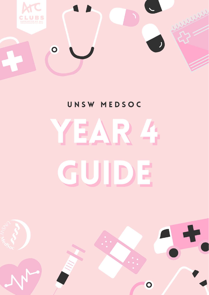

# UNSW MEDSOC

# E)  $\Delta$ GUI  $\mathbb{F}$  $\mathbf{D}^{'}$

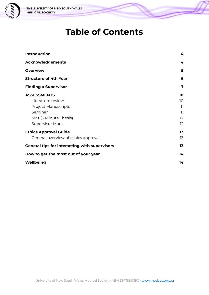

# **Table of Contents**

| <b>Introduction</b>                                  | 4  |
|------------------------------------------------------|----|
| <b>Acknowledgements</b>                              | 4  |
| <b>Overview</b>                                      | 5  |
| <b>Structure of 4th Year</b>                         | 6  |
| <b>Finding a Supervisor</b>                          | 7  |
| <b>ASSESSMENTS</b>                                   | 10 |
| Literature review                                    | 10 |
| <b>Project Manuscripts</b>                           | 11 |
| Seminar                                              | 11 |
| <b>3MT (3 Minute Thesis)</b>                         | 12 |
| Supervisor Mark                                      | 12 |
| <b>Ethics Approval Guide</b>                         | 13 |
| General overview of ethics approval                  | 13 |
| <b>General tips for interacting with supervisors</b> | 13 |
| How to get the most out of your year                 | 14 |
| Wellbeing                                            | 14 |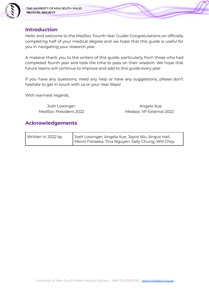

### <span id="page-2-0"></span>**Introduction**

Hello and welcome to the MedSoc Fourth Year Guide! Congratulations on officially completing half of your medical degree and we hope that this guide is useful for you in navigating your research year.

A massive thank you to the writers of this guide, particularly from those who had completed fourth year and took the time to pass on their wisdom. We hope that future teams will continue to improve and add to this guide every year.

If you have any questions, need any help or have any suggestions, please don't hesitate to get in touch with us or your Year Reps!

With warmest regards,

Josh Lowinger **Angela Xue** 

MedSoc President 2022 Medsoc VP External 2022

### <span id="page-2-1"></span>**Acknowledgements**

| Written in 2022 by | Josh Lowinger, Angela Xue, Joyce Wu, Angus Hall,   |
|--------------------|----------------------------------------------------|
|                    | Mevni Fonseka, Tina Nguyen, Sally Chung, Will Choy |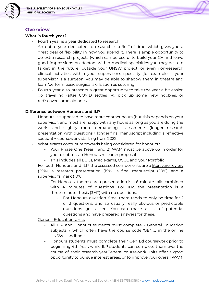

### <span id="page-3-0"></span>**Overview**

### **What is fourth year?**

- Fourth year is a year dedicated to research.
- An entire year dedicated to research is a \*lot\* of time, which gives you a great deal of flexibility in how you spend it. There is ample opportunity to do extra research projects (which can be useful to build your CV and leave good impressions on doctors within medical specialties you may wish to target in the future) outside your UNSW project, or even non-research clinical activities within your supervisor's specialty (for example, if your supervisor is a surgeon, you may be able to shadow them in theatre and learn/perform basic surgical skills such as suturing).
- Fourth year also presents a great opportunity to take the year a bit easier, go travelling (after COVID settles :P), pick up some new hobbies, or rediscover some old ones.

### **Difference between Honours and ILP**

- Honours is supposed to have more contact hours (but this depends on your supervisor, and most are happy with any hours as long as you are doing the work) and slightly more demanding assessments (longer research presentation with questions + longer final manuscript including a reflective section) + coursework starting from 2022.
- What exams contribute towards being considered for honours?
	- Your Phase One (Year 1 and 2) WAM must be above 65 in order for you to submit an Honours research proposal
	- This includes all EOCs, Prac exams, OSCE and your Portfolio
- For both Honours and ILP, the assessed components are a literature review (25%), a research presentation (15%), a final manuscript (50%), and a supervisor's mark (10%).
	- For Honours, the research presentation is a 6-minute talk combined with 4 minutes of questions. For ILP, the presentation is a three-minute thesis (3MT) with no questions.
		- For Honours question time, there tends to only be time for 2 or 3 questions, and so usually really obvious or predictable questions get asked. You can make a list of potential questions and have prepared answers for these.
- General Education Units
	- All ILP and Honours students must complete 2 General Education subjects → which often have the course code 'GEN….' in the online UNSW Handbook
	- Honours students must complete their Gen Ed coursework prior to beginning 4th Year, while ILP students can complete them over the course of their research yearGeneral coursework units offer a good opportunity to pursue interest areas, or to improve your overall WAM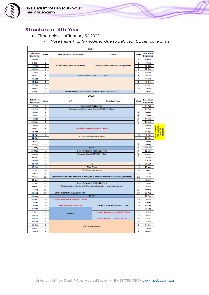

### <span id="page-4-0"></span>**Structure of 4th Year**

- Timetable as of January 30 2022
	- *○ Note this is highly modified due to delayed ICE clinical exams*

| 2021                          |      |                                      |                                                                                              |                  |                        |   |
|-------------------------------|------|--------------------------------------|----------------------------------------------------------------------------------------------|------------------|------------------------|---|
| <b>Date Week</b><br>Beginning | Week | <b>Year 3 Clinical Courtework</b>    | Year 4                                                                                       | Week             | Date Week<br>Beginning |   |
| 30 Aug                        | 1    |                                      |                                                                                              | 1                | 30 Aug                 |   |
| 6-Sep                         | 2    |                                      |                                                                                              | 2                | 6-Sep                  |   |
| 13-Sep                        | з    | As advised by Year 3 Convenors       | Work on literature review if time permitted                                                  | з                | 13-Sep                 |   |
| 20-Sep                        | 4    |                                      |                                                                                              | 4                | 20-Sep                 |   |
| 27-8ep                        | 5    |                                      |                                                                                              | 5<br>6           | 27-Sep                 |   |
| 4-Oct                         | 6    | Online Tutorial #1 (04/11/21, 7pm)   |                                                                                              |                  | 4-Oct                  |   |
| $11$ -Oct                     | 7    |                                      |                                                                                              | 7                | $11$ -Oct              |   |
| 18-Oct                        | 8    |                                      |                                                                                              | а                | 18-Oct                 |   |
| 25-Oct                        | 9    |                                      |                                                                                              | 9                | 25-Oct                 |   |
| 1-Nov                         | 10   |                                      |                                                                                              | 10               | 1-Now                  |   |
| 8-Nov                         | 11   |                                      | Self-awareness, positionality & reflexive health care (11/11/21)                             | 11               | 8-Nov                  |   |
|                               |      | 2022                                 |                                                                                              |                  |                        |   |
| Date Week<br><b>Beginning</b> | Week | ILP                                  | <b>BSo(Med) Hone</b>                                                                         | Wook             | Date Wook<br>Beginning |   |
| 14-Feb                        | 1    |                                      | Induction (14/02/22, 7pm)                                                                    |                  | 14-Feb                 |   |
| $21 -$ Feb                    | 2    |                                      | Milestone and Expectation Report (25/02/22, 10am)                                            |                  | 21-Feb                 |   |
| 28-Feb                        | з    |                                      |                                                                                              |                  | 28-Feb                 |   |
| 7-Mar                         | 4    |                                      |                                                                                              | dria             | 7-Mar                  |   |
| 14 Mar                        | 5    |                                      |                                                                                              | day/TBA          | 14-Mar                 |   |
| 21-Mar                        | 6    |                                      |                                                                                              |                  | 21 Mar                 |   |
| 28-Mar                        | 7    |                                      |                                                                                              |                  | 28-Mar                 |   |
| 4-Apr                         | 8    |                                      | Literature Review (04/04/22, 10am)                                                           |                  | 4-Apr                  |   |
| 11-Apr                        | 9    |                                      |                                                                                              |                  | 11-Apr                 | ဦ |
| 18-Apr                        | 10   |                                      |                                                                                              | 10               | 18-Apr                 | õ |
| 25 Apr                        | 11   |                                      | P2 Clinical Intensive (5 days)                                                               | 11               | 25-Apr                 |   |
| 2-May                         | 12   |                                      |                                                                                              |                  | 2-May                  |   |
| 9-May                         | 13   |                                      |                                                                                              |                  | 9-May                  |   |
| 16-May                        |      | <b>Broak</b>                         |                                                                                              |                  | 16-May                 |   |
| 23-May                        | 14   |                                      | Online Tutorial #2 (23/05/22, 7pm)                                                           |                  | 23-May                 |   |
| 30-May                        | 15   |                                      | Progress Report (30/05/22, 10am)                                                             | day/TBA clinical | 30-May                 |   |
| 6-Jun                         | 16   |                                      |                                                                                              |                  | 6-Jun                  |   |
| 13-Jun                        | 17   |                                      |                                                                                              |                  | 13-Jun                 |   |
| 20 Jun                        | 18   | P2                                   |                                                                                              |                  | 20-Jun                 |   |
| 27-Jun                        | 19   |                                      | <b>Flexi Week</b>                                                                            | 19               | 27-Jun                 |   |
| 4-Jul                         | 20   |                                      | P2 Clinical Assessment                                                                       | 20               | 4-Jul                  |   |
| $11 -$ Jul                    | 21   |                                      |                                                                                              | 21               | $11 -$ Jul             |   |
| 18-Jul                        | 22   |                                      | Ethical frameworks and principles in Aboriginal & Torres Strait Islander research (workshop) | 22               | 18-Jul                 |   |
| 25-Jul                        | 23   |                                      |                                                                                              | 23               | 25-Jul                 |   |
| 1-Aug                         | 24   |                                      | Online Tutorial #3 (01/08/22, 7pm)                                                           | 24               | 1-Aug                  |   |
| 8-Aug                         | 25   |                                      | Collaboration in Aboriginal & Torres Strait Islander research (workshop)                     | 25               | 8-Aug                  |   |
| 15 Aug                        | 26   |                                      |                                                                                              | 26               | 15 Aug                 |   |
| 22 Aug                        | 27   | Online Tutorial #4.1 (22/08/22, 7pm) |                                                                                              | 27               | 22 Aug                 |   |
| 29 Aug                        |      |                                      | <b>Broak</b>                                                                                 |                  | 29 Aug                 |   |
| 5-Sep                         | 28   | Project Manuscript (06/09/22, 10am)  |                                                                                              | 28               | 5-Sep                  |   |
| 12-8ep                        | 29   |                                      |                                                                                              | 29               | 12-Sep                 |   |
| 19-8ep                        | 30   | 3MT (18/09/22 - 23/09/22)            | Online Tutorial #4.2 (19/09/22, 7pm)                                                         | 30               | 19-Sep                 |   |
| 26-8ep                        | 31   |                                      |                                                                                              | 31               | 26-Sep                 |   |
| 3-Oct                         | 32   | <b>BREAK</b>                         | Project Manuscript (04/10/22, 10am)                                                          | 32               | 3-Oct                  |   |
| 10-Oct                        | 33   |                                      |                                                                                              | 33               | $10$ -Oct              |   |
| $17$ -Oct                     | 34   |                                      | Final Seminar (17/10/22 - 21/10/22)                                                          | 34               | $17$ -Oct              |   |
| 24-Oct                        | 1    |                                      |                                                                                              | 1                | 24-Oct                 |   |
| 31-Oct                        | 2    | CTC is mendatory                     |                                                                                              |                  | 31-Oct                 |   |
| 7-Nov                         | з    |                                      |                                                                                              |                  | 7-Nov                  |   |
| 14-Nov                        | 4    |                                      |                                                                                              | 4                | 14-Nov                 |   |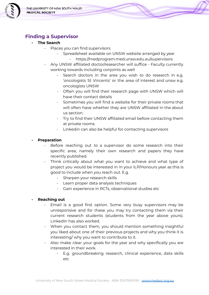

### <span id="page-5-0"></span>**Finding a Supervisor**

- **The Search**
	- Places you can find supervisors
		- Spreadsheet available on UNSW website arranged by year
			- https://medprogram.med.unsw.edu.au/supervisors
	- Any UNSW affiliated doctor/researcher will suffice Faculty currently working towards including conjoints as well
		- Search doctors in the area you wish to do research in e.g. 'oncologists St Vincents' or the area of interest and unsw e.g. oncologists UNSW
		- Often you will find their research page with UNSW which will have their contact details
		- Sometimes you will find a website for their private rooms that will often have whether they are UNSW affiliated in the about us section.
		- Try to find their UNSW affiliated email before contacting them at private rooms.
		- Linkedin can also be helpful for contacting supervisors

### **- Preparation**

- Before reaching out to a supervisor do some research into their specific area, namely their own research and papers they have recently published.
- Think critically about what you want to achieve and what type of project you would be interested in in your ILP/Honours year as this is good to include when you reach out. E.g.
	- Sharpen your research skills
	- Learn proper data analysis techniques
	- Gain experience in RCTs, observational studies etc

### **- Reaching out**

- Email is a good first option. Some very busy supervisors may be unresponsive and for these you may try contacting them via their current research students (students from the year above yours). LinkedIn has also worked.
- When you contact them, you should mention something insightful you liked about one of their previous projects and why you think it is interesting/ why you want to contribute to it.
- Also make clear your goals for the year and why specifically you are interested in their work.
	- E.g. groundbreaking research, clinical experience, data skills etc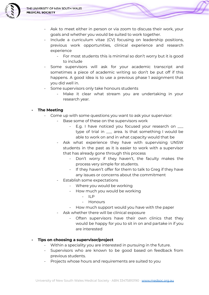

- Ask to meet either in person or via zoom to discuss their work, your goals and whether you would be suited to work together.
- Include a curriculum vitae (CV) focusing on leadership positions, previous work opportunities, clinical experience and research experience
	- For most students this is minimal so don't worry but it is good to include
- Some supervisors will ask for your academic transcript and sometimes a piece of academic writing so don't be put off if this happens. A good idea is to use a previous phase 1 assignment that you did well in.
- Some supervisors only take honours students
	- Make it clear what stream you are undertaking in your research year.

### **- The Meeting**

- Come up with some questions you want to ask your supervisor:
	- Base some of these on the supervisors work
		- E.g. I have noticed you focused your research on \_\_\_ type of trial in \_\_\_ area. Is that something I would be able to work on and in what capacity would that be
	- Ask what experience they have with supervising UNSW students in the past as it is easier to work with a supervisor that has already gone through this process
		- Don't worry if they haven't, the faculty makes the process very simple for students.
		- If they haven't offer for them to talk to Greg if they have any issues or concerns about the commitment
	- Establish some expectations
		- Where you would be working
		- How much you would be working
			- ILP
			- Honours
		- How much support would you have with the paper
	- Ask whether there will be clinical exposure
		- Often supervisors have their own clinics that they would be happy for you to sit in on and partake in if you are interested

### **- Tips on choosing a supervisor/project**

- Within a speciality you are interested in pursuing in the future.
- Supervisors who are known to be good based on feedback from previous students.
- Projects whose hours and requirements are suited to you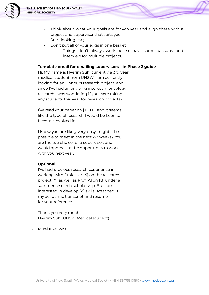

- Think about what your goals are for 4th year and align these with a project and supervisor that suits you
- Start looking early
- Don't put all of your eggs in one basket
	- Things don't always work out so have some backups, and interview for multiple projects.
- **Template email for emailing supervisors in Phase 2 guide**

Hi, My name is Hyerim Suh, currently a 3rd year medical student from UNSW. I am currently looking for an Honours research project, and since I've had an ongoing interest in oncology research I was wondering if you were taking any students this year for research projects?

I've read your paper on [TITLE] and it seems like the type of research I would be keen to become involved in.

I know you are likely very busy, might it be possible to meet in the next 2-3 weeks? You are the top choice for a supervisor, and I would appreciate the opportunity to work with you next year.

### **Optional**

I've had previous research experience in working with Professor [X] on the research project [Y] as well as Prof [A] on [B] under a summer research scholarship. But I am interested in develop [Z] skills. Attached is my academic transcript and resume for your reference.

Thank you very much, Hyerim Suh (UNSW Medical student)

- Rural ILP/Hons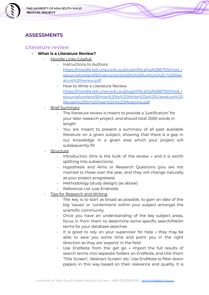

### <span id="page-8-0"></span>**ASSESSMENTS**

### <span id="page-8-1"></span>**Literature review**

- **What is a Literature Review?**
	- Moodle Links (Useful)
		- Instructions to Authors:
			- [https://moodle.telt.unsw.edu.au/pluginfile.php/6286793/mod\\_r](https://moodle.telt.unsw.edu.au/pluginfile.php/6286793/mod_resource/content/6/Instructions%20to%20Authors%20-%20literature%20review.pdf) [esource/content/6/Instructions%20to%20Authors%20-%20liter](https://moodle.telt.unsw.edu.au/pluginfile.php/6286793/mod_resource/content/6/Instructions%20to%20Authors%20-%20literature%20review.pdf) [ature%20review.pdf](https://moodle.telt.unsw.edu.au/pluginfile.php/6286793/mod_resource/content/6/Instructions%20to%20Authors%20-%20literature%20review.pdf)
			- How to Write a Literature Review: [https://moodle.telt.unsw.edu.au/pluginfile.php/6286792/mod\\_r](https://moodle.telt.unsw.edu.au/pluginfile.php/6286792/mod_resource/content/6/How%20to%20Write%20a%20Literature%20Review%20for%20Year%204%20Medicine.pdf) [esource/content/6/How%20to%20Write%20a%20Literature%20](https://moodle.telt.unsw.edu.au/pluginfile.php/6286792/mod_resource/content/6/How%20to%20Write%20a%20Literature%20Review%20for%20Year%204%20Medicine.pdf) [Review%20for%20Year%204%20Medicine.pdf](https://moodle.telt.unsw.edu.au/pluginfile.php/6286792/mod_resource/content/6/How%20to%20Write%20a%20Literature%20Review%20for%20Year%204%20Medicine.pdf)
	- Brief Summary
		- The literature review is meant to provide a 'justification' for your later research project, and should total 2500 words in length
		- You are meant to present a summary of all past available literature on a given subject, showing that there is a gap in our knowledge in a given area which your project will subsequently fill
	- Structure
		- Introduction (this is the bulk of the review  $\rightarrow$  and it is worth splitting into subsections)
		- Hypothesis and Aims or Research Questions (you are not married to these over the year, and they will change naturally as your project progresses)
		- Methodology (study design) (as above)
		- Reference List (use Endnote)
	- Tips for Research and Writing
		- The key is to start as broad as possible, to gain an idea of the big 'issues' or 'contentions' within your subject amongst the scientific community
		- Once you have an understanding of the key subject areas, focus in from them to determine some specific search/MeSH terms for your database searches
		- It is good to rely on your supervisor for help  $\rightarrow$  they may be able to save you some time and point you in the right direction as they are 'experts' in the field
		- Use EndNote from the get go  $\rightarrow$  import the full results of search terms into separate folders on EndNote, and title them 'Title Screen', 'Abstract Screen' etc. Use EndNote to filter down papers in this way based on their relevance and quality. It is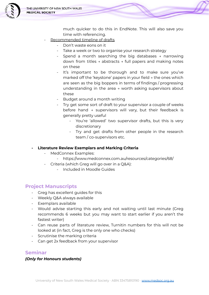

much quicker to do this in EndNote. This will also save you time with referencing.

- Recommended timeline of drafts
	- Don't waste eons on it
	- Take a week or two to organise your research strategy
	- Spend a month searching the big databases  $\rightarrow$  narrowing down from titles → abstracts → full papers and making notes on these
	- It's important to be thorough and to make sure you've marked off the 'keystone' papers in your field → the ones which are seen as the big boppers in terms of findings / progressing understanding in the area → worth asking supervisors about these
	- Budget around a month writing
	- Try get some sort of draft to your supervisor a couple of weeks before hand → supervisors will vary, but their feedback is generally pretty useful
		- You're 'allowed' two supervisor drafts, but this is very discretionary
		- Try and get drafts from other people in the research team / co-supervisors etc.
- **Literature Review Exemplars and Marking Criteria**
	- MedConnex Examples:
		- https://www.medconnex.com.au/resources/categories/68/
	- Criteria (which Greg will go over in a Q&A):
		- Included in Moodle Guides

### <span id="page-9-0"></span>**Project Manuscripts**

- Greg has excellent guides for this
- Weekly Q&A always available
- Exemplars available
- Would advise starting this early and not waiting until last minute (Greg recommends 6 weeks but you may want to start earlier if you aren't the fastest writer)
- Can reuse parts of literature review, Turnitin numbers for this will not be looked at (in fact, Greg is the only one who checks)
- Scrutinise the marking criteria
- Can get 2x feedback from your supervisor

### <span id="page-9-1"></span>**Seminar**

### *(Only for Honours students)*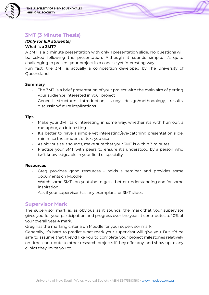

### <span id="page-10-0"></span>**3MT (3 Minute Thesis)**

### *(Only for ILP students)* **What is a 3MT?**

A 3MT is a 3 minute presentation with only 1 presentation slide. No questions will be asked following the presentation. Although it sounds simple, it's quite challenging to present your project in a concise yet interesting way.

Fun fact, the 3MT is actually a competition developed by The University of Queensland!

### **Summary**

- The 3MT is a brief presentation of your project with the main aim of getting your audience interested in your project
- General structure: Introduction, study design/methodology, results, discussion/future implications

#### **Tips**

- Make your 3MT talk interesting in some way, whether it's with humour, a metaphor, an interesting
- It's better to have a simple yet interesting/eye-catching presentation slide, minimise the amount of text you use
- As obvious as it sounds, make sure that your 3MT is within 3 minutes
- Practice your 3MT with peers to ensure it's understood by a person who isn't knowledgeable in your field of specialty

#### **Resources**

- Greg provides good resources holds a seminar and provides some documents on Moodle
- Watch some 3MTs on youtube to get a better understanding and for some inspiration
- Ask if your supervisor has any exemplars for 3MT slides

### <span id="page-10-1"></span>**Supervisor Mark**

The supervisor mark is, as obvious as it sounds, the mark that your supervisor gives you for your participation and progress over the year. It contributes to 10% of your overall year 4 mark.

Greg has the marking criteria on Moodle for your supervisor mark.

Generally, it's hard to predict what mark your supervisor will give you. But it'd be safe to assume that they'd like you to complete your project milestones relatively on time, contribute to other research projects if they offer any, and show up to any clinics they invite you to.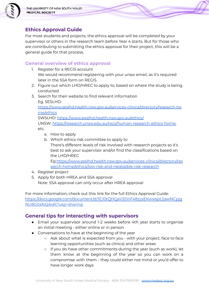

### <span id="page-11-0"></span>**Ethics Approval Guide**

For most students and projects, the ethics approval will be completed by your supervisor or others in the research team before Year 4 starts. But for those who are contributing to submitting the ethics approval for their project, this will be a general guide for that process.

### <span id="page-11-1"></span>**General overview of ethics approval**

- 1. Register for a REGIS account We would recommend registering with your unsw email, as it's required later in the SSA form on REGIS.
- 2. Figure out which LHD/HREC to apply to, based on where the study is being conducted
- 3. Search for their website to find relevant information Eg. SESLHD:

[https://www.seslhd.health.nsw.gov.au/services-clinics/directory/research-ho](https://www.seslhd.health.nsw.gov.au/services-clinics/directory/research-home/ethics) [me/ethics](https://www.seslhd.health.nsw.gov.au/services-clinics/directory/research-home/ethics)

SWSLHD: <https://www.swslhd.health.nsw.gov.au/ethics/> UNSW: [https://research.unsw.edu.au/recs/human-research-ethics-home,](https://research.unsw.edu.au/recs/human-research-ethics-home) etc.

- a. How to apply
- b. Which ethics risk committee to apply to There's different levels of risk involved with research projects so it's best to ask your supervisor and/or find the classifications based on the LHD/HREC

Eg[.https://www.seslhd.health.nsw.gov.au/services-clinics/directory/res](https://www.seslhd.health.nsw.gov.au/services-clinics/directory/research-home/ethics/low-risk-and-negligible-risk-research) [earch-home/ethics/low-risk-and-negligible-risk-research](https://www.seslhd.health.nsw.gov.au/services-clinics/directory/research-home/ethics/low-risk-and-negligible-risk-research)

- 4. Register project
- 5. Apply for both HREA and SSA approval Note: SSA approval can only occur after HREA approval

For more information, check out this link for the full Ethics Approval Guide: [https://docs.google.com/document/d/1EJ0tQHQaV3DnF48zysEKwwspL1jawNCpjg](https://docs.google.com/document/d/1EJ0tQHQaV3DnF48zysEKwwspL1jawNCpjgNU8G0afsQ/edit?usp=sharing) [NU8G0afsQ/edit?usp=sharing](https://docs.google.com/document/d/1EJ0tQHQaV3DnF48zysEKwwspL1jawNCpjgNU8G0afsQ/edit?usp=sharing)

### <span id="page-11-2"></span>**General tips for interacting with supervisors**

- Email your supervisor around 1-2 weeks before 4th year starts to organise an initial meeting - either online or in person
- Conversations to have at the beginning of the year
	- Ask about what is expected from you with your project, face to face learning opportunities (such as clinics) and other areas
	- If you do have other commitments during the year (such as work), let them know at the beginning of the year so you can work on a compromise with them - they could either not mind or you'd offer to have longer work days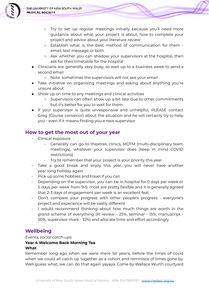

- Try to set up regular meetings initially because you'll need more guidance about what your project is about, how to complete your project and advice about your literature review
- Establish what is the best method of communication for them email, text message or both
- Ask whether you can shadow your supervisors at the hospital, then ask for their timetable for the hospital
- Clinicians are generally very busy, so wait up to a business week to send a second email
	- Note: sometimes the supervisors will not see your email
- Take initiative on organising meetings and asking about anything you're unsure about
- Show up on time to any meetings and clinical activities
	- Supervisors can often show up a bit late due to other commitments but it's better for you to wait for them
- If your supervisor is quite unresponsive and unhelpful, PLEASE contact Greg (Course convenor) about the situation and he will certainly try to help you - even if it means finding you a new supervisor

### <span id="page-12-0"></span>**How to get the most out of your year**

- Clinical exposure
	- Generally can go to theatres, clinics, MDTM (multi-disciplinary team meetings), whatever your supervisor does (keep in mind COVID restrictions)
	- Try to remember that your project is your priority this year
- Take a good break and enjoy this year, you will never have another year-long holiday again
- Pick up some hobbies and travel if you can
- Depending on the supervisor, you can be in hospital for 0 days per week or 5 days per week from 9-5; most are pretty flexible and it is generally agreed that 2-3 days of engagement per week is an excellent feat
- Don't compare your progress with other people's progress everyone's project and experience will be vastly different
- I would recommend thinking about how much things are worth in the grand scheme of everything (lit review - 25%, seminar - 15%, manuscript - 50%, supervisor mark - 10%) and allocate time and effort accordingly

### <span id="page-12-1"></span>**Wellbeing**

### *Events, social catch-ups*

#### **Year 4 Welcome Back Morning Tea What**:

Remember long ago when we were mere 1st year's, before the times of covid when we could all catch up together as a cohort and reminisce of times gone by. Well guess what, we can do that again yayaya. Come by Wallace Wurth courtyard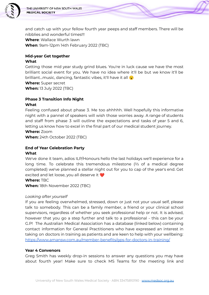

and catch up with your fellow fourth year peeps and staff members. There will be nibblies and wonderful times!!! **Where**: Wallace Wurth lawn **When**: 9am-12pm 14th February 2022 (TBC)

### **Mid-year Get together**

#### **What**

Getting those mid year study grind blues. You're in luck cause we have the most brilliant social event for you. We have no idea where it'll be but we know it'll be brilliant...music, dancing, fantastic vibes, it'll have it all  $\ddot{\bullet}$ 

**Where:** Super secret **When:** 13 July 2022 (TBC)

### **Phase 3 Transition Info Night**

#### **What**

Feeling confused about phase 3. Me too ahhhhh. Well hopefully this informative night with a pannel of speakers will wish those worries away. A range of students and staff from phase 3 will outline the expectations and tasks of year 5 and 6, letting us know how to excel in the final part of our medical student journey.

#### **Where:** Zoom

**When:** 24th October 2022 (TBC)

### **End of Year Celebration Party**

#### **What**

We've done it team, adios ILP/Honours hello the last holidays we'll experience for a long time. To celebrate this tremendous milestone (⅔ of a medical degree completed) we've planned a stellar night out for you to cap of the year's end. Get excited and let loose, you all deserve it

**Where:** TBC

**When:** 18th November 2022 (TBC)

### *Looking after yourself*

If you are feeling overwhelmed, stressed, down or just not your usual self, please talk to somebody. This can be a family member, a friend or your clinical school supervisors, regardless of whether you seek professional help or not. It is advised, however that you go a step further and talk to a professional - this can be your G.P! The Australian Medical Association has a database (linked below) containing contact information for General Practitioners who have expressed an interest in taking on doctors in training as patients and are keen to help with your wellbeing: <https://www.amansw.com.au/member-benefits/gps-for-doctors-in-training/>

### **Year 4 Convenors**

Greg Smith has weekly drop-in sessions to answer any questions you may have about fourth year! Make sure to check MS Teams for the meeting link and